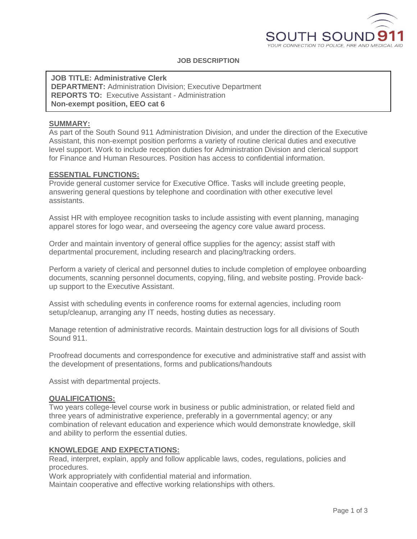

## **JOB DESCRIPTION**

**JOB TITLE: Administrative Clerk DEPARTMENT:** Administration Division; Executive Department **REPORTS TO:** Executive Assistant - Administration **Non-exempt position, EEO cat 6**

#### **SUMMARY:**

As part of the South Sound 911 Administration Division, and under the direction of the Executive Assistant, this non-exempt position performs a variety of routine clerical duties and executive level support. Work to include reception duties for Administration Division and clerical support for Finance and Human Resources. Position has access to confidential information.

#### **ESSENTIAL FUNCTIONS:**

Provide general customer service for Executive Office. Tasks will include greeting people, answering general questions by telephone and coordination with other executive level assistants.

Assist HR with employee recognition tasks to include assisting with event planning, managing apparel stores for logo wear, and overseeing the agency core value award process.

Order and maintain inventory of general office supplies for the agency; assist staff with departmental procurement, including research and placing/tracking orders.

Perform a variety of clerical and personnel duties to include completion of employee onboarding documents, scanning personnel documents, copying, filing, and website posting. Provide backup support to the Executive Assistant.

Assist with scheduling events in conference rooms for external agencies, including room setup/cleanup, arranging any IT needs, hosting duties as necessary.

Manage retention of administrative records. Maintain destruction logs for all divisions of South Sound 911.

Proofread documents and correspondence for executive and administrative staff and assist with the development of presentations, forms and publications/handouts

Assist with departmental projects.

#### **QUALIFICATIONS:**

Two years college-level course work in business or public administration, or related field and three years of administrative experience, preferably in a governmental agency; or any combination of relevant education and experience which would demonstrate knowledge, skill and ability to perform the essential duties.

#### **KNOWLEDGE AND EXPECTATIONS:**

Read, interpret, explain, apply and follow applicable laws, codes, regulations, policies and procedures.

Work appropriately with confidential material and information.

Maintain cooperative and effective working relationships with others.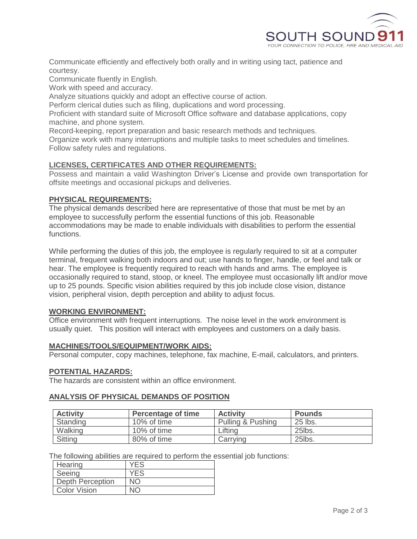

Communicate efficiently and effectively both orally and in writing using tact, patience and courtesy.

Communicate fluently in English.

Work with speed and accuracy.

Analyze situations quickly and adopt an effective course of action.

Perform clerical duties such as filing, duplications and word processing.

Proficient with standard suite of Microsoft Office software and database applications, copy machine, and phone system.

Record-keeping, report preparation and basic research methods and techniques.

Organize work with many interruptions and multiple tasks to meet schedules and timelines. Follow safety rules and regulations.

# **LICENSES, CERTIFICATES AND OTHER REQUIREMENTS:**

Possess and maintain a valid Washington Driver's License and provide own transportation for offsite meetings and occasional pickups and deliveries.

## **PHYSICAL REQUIREMENTS:**

The physical demands described here are representative of those that must be met by an employee to successfully perform the essential functions of this job. Reasonable accommodations may be made to enable individuals with disabilities to perform the essential functions.

While performing the duties of this job, the employee is regularly required to sit at a computer terminal, frequent walking both indoors and out; use hands to finger, handle, or feel and talk or hear. The employee is frequently required to reach with hands and arms. The employee is occasionally required to stand, stoop, or kneel. The employee must occasionally lift and/or move up to 25 pounds. Specific vision abilities required by this job include close vision, distance vision, peripheral vision, depth perception and ability to adjust focus.

## **WORKING ENVIRONMENT:**

Office environment with frequent interruptions. The noise level in the work environment is usually quiet. This position will interact with employees and customers on a daily basis.

## **MACHINES/TOOLS/EQUIPMENT/WORK AIDS:**

Personal computer, copy machines, telephone, fax machine, E-mail, calculators, and printers.

## **POTENTIAL HAZARDS:**

The hazards are consistent within an office environment.

## **ANALYSIS OF PHYSICAL DEMANDS OF POSITION**

| <b>Activity</b> | <b>Percentage of time</b> | <b>Activity</b>   | <b>Pounds</b> |
|-----------------|---------------------------|-------------------|---------------|
| Standing        | 10% of time               | Pulling & Pushing | 25 lbs.       |
| Walking         | 10% of time               | ∟ifting           | 25lbs.        |
| <b>Sitting</b>  | 80% of time               | Carrving          | 25lbs.        |

The following abilities are required to perform the essential job functions:

| Hearing             | YFS |
|---------------------|-----|
| Seeing              | YFS |
| Depth Perception    | NΩ  |
| <b>Color Vision</b> |     |